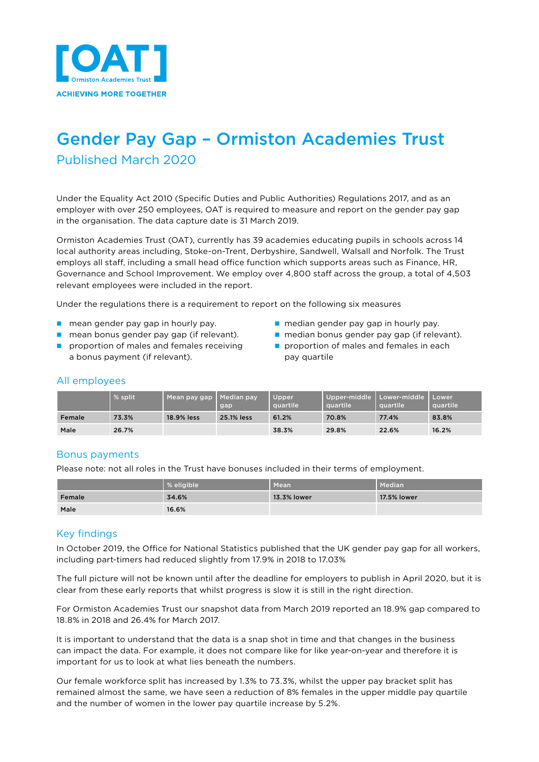

# Gender Pay Gap – Ormiston Academies Trust Published March 2020

Under the Equality Act 2010 (Specific Duties and Public Authorities) Regulations 2017, and as an employer with over 250 employees, OAT is required to measure and report on the gender pay gap in the organisation. The data capture date is 31 March 2019.

Ormiston Academies Trust (OAT), currently has 39 academies educating pupils in schools across 14 local authority areas including, Stoke-on-Trent, Derbyshire, Sandwell, Walsall and Norfolk. The Trust employs all staff, including a small head office function which supports areas such as Finance, HR, Governance and School Improvement. We employ over 4,800 staff across the group, a total of 4,503 relevant employees were included in the report.

Under the regulations there is a requirement to report on the following six measures

- n mean gender pay gap in hourly pay. n median gender pay gap in hourly pay.
- 
- n proportion of males and females receiving  $\Box$  proportion of males and females in each a bonus payment (if relevant). The pay quartile
- 
- n mean bonus gender pay gap (if relevant). nedian bonus gender pay gap (if relevant).
	-

## All employees

|        | % split. | Mean pay gap | Median pay<br>gap | Upper<br>quartile | quartile | Upper-middle   Lower-middle   Lower'<br>quartile | <b>Lauartile</b> |
|--------|----------|--------------|-------------------|-------------------|----------|--------------------------------------------------|------------------|
| Female | 73.3%    | 18.9% less   | 25.1% less        | 61.2%             | 70.8%    | 77.4%                                            | 83.8%            |
| Male   | 26.7%    |              |                   | 38.3%             | 29.8%    | 22.6%                                            | 16.2%            |

## Bonus payments

Please note: not all roles in the Trust have bonuses included in their terms of employment.

|        | % eligible | Mean        | Median      |
|--------|------------|-------------|-------------|
| Female | 34.6%      | 13.3% lower | 17.5% lower |
| Male   | 16.6%      |             |             |

## Key findings

In October 2019, the Office for National Statistics published that the UK gender pay gap for all workers, including part-timers had reduced slightly from 17.9% in 2018 to 17.03%

The full picture will not be known until after the deadline for employers to publish in April 2020, but it is clear from these early reports that whilst progress is slow it is still in the right direction.

For Ormiston Academies Trust our snapshot data from March 2019 reported an 18.9% gap compared to 18.8% in 2018 and 26.4% for March 2017.

It is important to understand that the data is a snap shot in time and that changes in the business can impact the data. For example, it does not compare like for like year-on-year and therefore it is important for us to look at what lies beneath the numbers.

Our female workforce split has increased by 1.3% to 73.3%, whilst the upper pay bracket split has remained almost the same, we have seen a reduction of 8% females in the upper middle pay quartile and the number of women in the lower pay quartile increase by 5.2%.